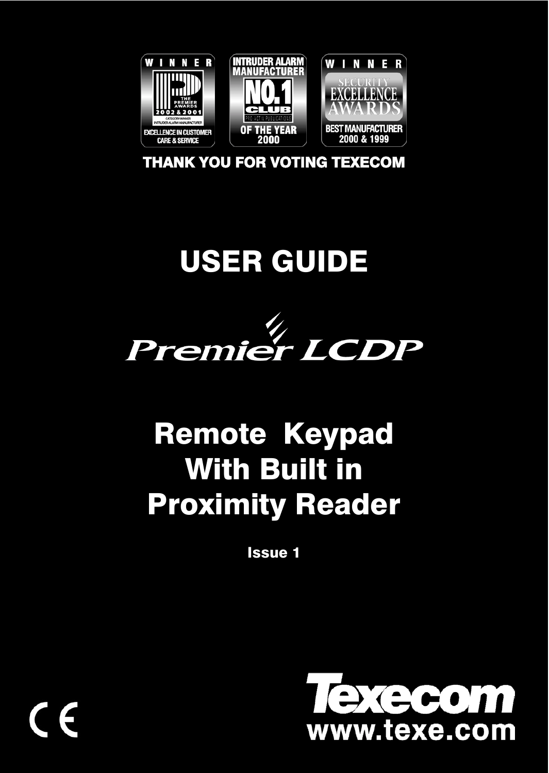

THANK YOU FOR VOTING TEXECOM

# USER GUIDE



# Remote Keypad With Built in Proximity Reader

Issue 1

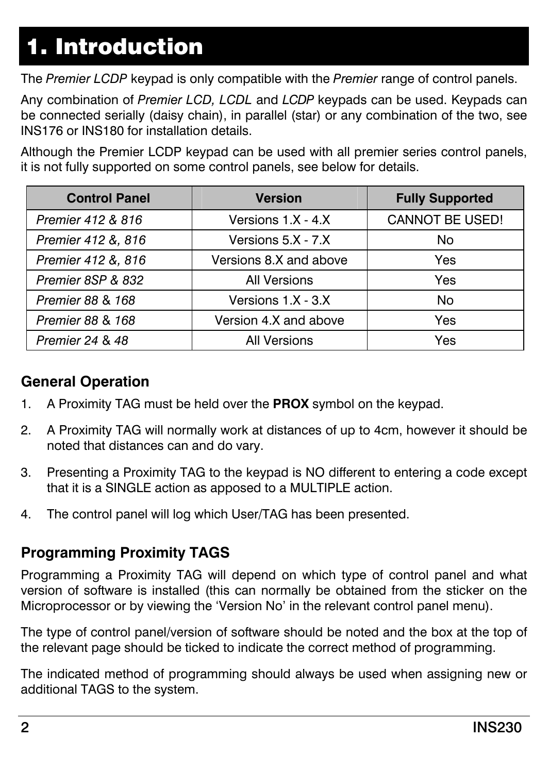# 1. Introduction

The *Premier LCDP* keypad is only compatible with the *Premier* range of control panels.

Any combination of *Premier LCD, LCDL* and *LCDP* keypads can be used. Keypads can be connected serially (daisy chain), in parallel (star) or any combination of the two, see INS176 or INS180 for installation details.

Although the Premier LCDP keypad can be used with all premier series control panels, it is not fully supported on some control panels, see below for details.

| <b>Control Panel</b> | Version                | <b>Fully Supported</b> |
|----------------------|------------------------|------------------------|
| Premier 412 & 816    | Versions 1 X - 4 X     | <b>CANNOT BE USED!</b> |
| Premier 412 &, 816   | Versions 5.X - 7.X     | No                     |
| Premier 412 &, 816   | Versions 8.X and above | Yes                    |
| Premier 8SP & 832    | <b>All Versions</b>    | <b>Yes</b>             |
| Premier 88 & 168     | Versions 1.X - 3.X     | No                     |
| Premier 88 & 168     | Version 4.X and above  | Yes                    |
| Premier 24 & 48      | <b>All Versions</b>    | Yes                    |

### **General Operation**

- 1. A Proximity TAG must be held over the **PROX** symbol on the keypad.
- 2. A Proximity TAG will normally work at distances of up to 4cm, however it should be noted that distances can and do vary.
- 3. Presenting a Proximity TAG to the keypad is NO different to entering a code except that it is a SINGLE action as apposed to a MULTIPLE action.
- 4. The control panel will log which User/TAG has been presented.

#### **Programming Proximity TAGS**

Programming a Proximity TAG will depend on which type of control panel and what version of software is installed (this can normally be obtained from the sticker on the Microprocessor or by viewing the 'Version No' in the relevant control panel menu).

The type of control panel/version of software should be noted and the box at the top of the relevant page should be ticked to indicate the correct method of programming.

The indicated method of programming should always be used when assigning new or additional TAGS to the system.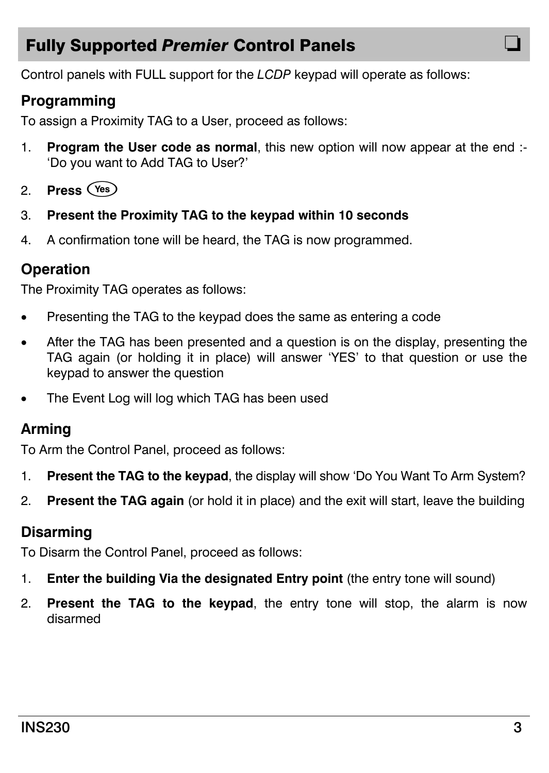## **Fully Supported Premier Control Panels**

Control panels with FULL support for the *LCDP* keypad will operate as follows:

#### **Programming**

To assign a Proximity TAG to a User, proceed as follows:

- 1. **Program the User code as normal**, this new option will now appear at the end :- 'Do you want to Add TAG to User?'
- 2. **Press**!
- 3. **Present the Proximity TAG to the keypad within 10 seconds**
- 4. A confirmation tone will be heard, the TAG is now programmed.

#### **Operation**

The Proximity TAG operates as follows:

- Presenting the TAG to the keypad does the same as entering a code
- After the TAG has been presented and a question is on the display, presenting the TAG again (or holding it in place) will answer 'YES' to that question or use the keypad to answer the question
- The Event Log will log which TAG has been used

#### **Arming**

To Arm the Control Panel, proceed as follows:

- 1. **Present the TAG to the keypad**, the display will show 'Do You Want To Arm System?
- 2. **Present the TAG again** (or hold it in place) and the exit will start, leave the building

#### **Disarming**

To Disarm the Control Panel, proceed as follows:

- 1. **Enter the building Via the designated Entry point** (the entry tone will sound)
- 2. **Present the TAG to the keypad**, the entry tone will stop, the alarm is now disarmed